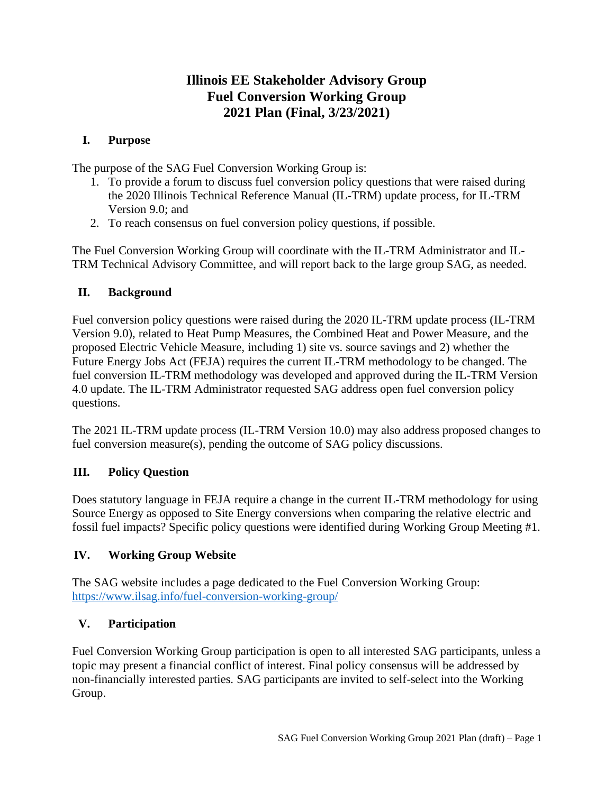# **Illinois EE Stakeholder Advisory Group Fuel Conversion Working Group 2021 Plan (Final, 3/23/2021)**

### **I. Purpose**

The purpose of the SAG Fuel Conversion Working Group is:

- 1. To provide a forum to discuss fuel conversion policy questions that were raised during the 2020 Illinois Technical Reference Manual (IL-TRM) update process, for IL-TRM Version 9.0; and
- 2. To reach consensus on fuel conversion policy questions, if possible.

The Fuel Conversion Working Group will coordinate with the IL-TRM Administrator and IL-TRM Technical Advisory Committee, and will report back to the large group SAG, as needed.

### **II. Background**

Fuel conversion policy questions were raised during the 2020 IL-TRM update process (IL-TRM Version 9.0), related to Heat Pump Measures, the Combined Heat and Power Measure, and the proposed Electric Vehicle Measure, including 1) site vs. source savings and 2) whether the Future Energy Jobs Act (FEJA) requires the current IL-TRM methodology to be changed. The fuel conversion IL-TRM methodology was developed and approved during the IL-TRM Version 4.0 update. The IL-TRM Administrator requested SAG address open fuel conversion policy questions.

The 2021 IL-TRM update process (IL-TRM Version 10.0) may also address proposed changes to fuel conversion measure(s), pending the outcome of SAG policy discussions.

### **III. Policy Question**

Does statutory language in FEJA require a change in the current IL-TRM methodology for using Source Energy as opposed to Site Energy conversions when comparing the relative electric and fossil fuel impacts? Specific policy questions were identified during Working Group Meeting #1.

# **IV. Working Group Website**

The SAG website includes a page dedicated to the Fuel Conversion Working Group: <https://www.ilsag.info/fuel-conversion-working-group/>

# **V. Participation**

Fuel Conversion Working Group participation is open to all interested SAG participants, unless a topic may present a financial conflict of interest. Final policy consensus will be addressed by non-financially interested parties. SAG participants are invited to self-select into the Working Group.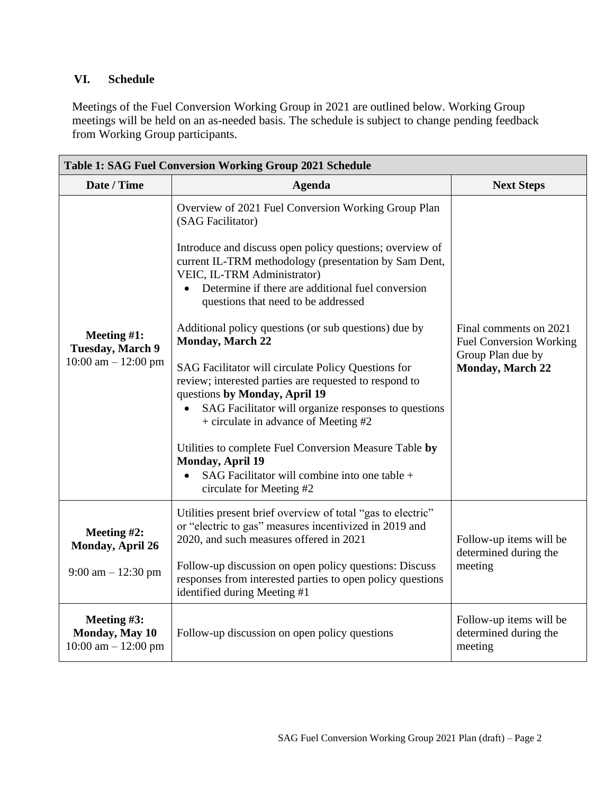### **VI. Schedule**

Meetings of the Fuel Conversion Working Group in 2021 are outlined below. Working Group meetings will be held on an as-needed basis. The schedule is subject to change pending feedback from Working Group participants.

| Table 1: SAG Fuel Conversion Working Group 2021 Schedule           |                                                                                                                                                                                                                                                                                                                                                                                                                                                                                                                                                                                                                                                                                                                                                                                                                                               |                                                                                                          |  |
|--------------------------------------------------------------------|-----------------------------------------------------------------------------------------------------------------------------------------------------------------------------------------------------------------------------------------------------------------------------------------------------------------------------------------------------------------------------------------------------------------------------------------------------------------------------------------------------------------------------------------------------------------------------------------------------------------------------------------------------------------------------------------------------------------------------------------------------------------------------------------------------------------------------------------------|----------------------------------------------------------------------------------------------------------|--|
| Date / Time                                                        | <b>Agenda</b>                                                                                                                                                                                                                                                                                                                                                                                                                                                                                                                                                                                                                                                                                                                                                                                                                                 | <b>Next Steps</b>                                                                                        |  |
| Meeting $#1$ :<br><b>Tuesday, March 9</b><br>10:00 am $- 12:00$ pm | Overview of 2021 Fuel Conversion Working Group Plan<br>(SAG Facilitator)<br>Introduce and discuss open policy questions; overview of<br>current IL-TRM methodology (presentation by Sam Dent,<br>VEIC, IL-TRM Administrator)<br>Determine if there are additional fuel conversion<br>$\bullet$<br>questions that need to be addressed<br>Additional policy questions (or sub questions) due by<br><b>Monday, March 22</b><br>SAG Facilitator will circulate Policy Questions for<br>review; interested parties are requested to respond to<br>questions by Monday, April 19<br>SAG Facilitator will organize responses to questions<br>+ circulate in advance of Meeting #2<br>Utilities to complete Fuel Conversion Measure Table by<br><b>Monday, April 19</b><br>SAG Facilitator will combine into one table +<br>circulate for Meeting #2 | Final comments on 2021<br><b>Fuel Conversion Working</b><br>Group Plan due by<br><b>Monday, March 22</b> |  |
| Meeting $#2$ :<br>Monday, April 26<br>9:00 am $- 12:30$ pm         | Utilities present brief overview of total "gas to electric"<br>or "electric to gas" measures incentivized in 2019 and<br>2020, and such measures offered in 2021<br>Follow-up discussion on open policy questions: Discuss<br>responses from interested parties to open policy questions<br>identified during Meeting #1                                                                                                                                                                                                                                                                                                                                                                                                                                                                                                                      | Follow-up items will be<br>determined during the<br>meeting                                              |  |
| Meeting #3:<br>Monday, May 10<br>10:00 am $- 12:00$ pm             | Follow-up discussion on open policy questions                                                                                                                                                                                                                                                                                                                                                                                                                                                                                                                                                                                                                                                                                                                                                                                                 | Follow-up items will be<br>determined during the<br>meeting                                              |  |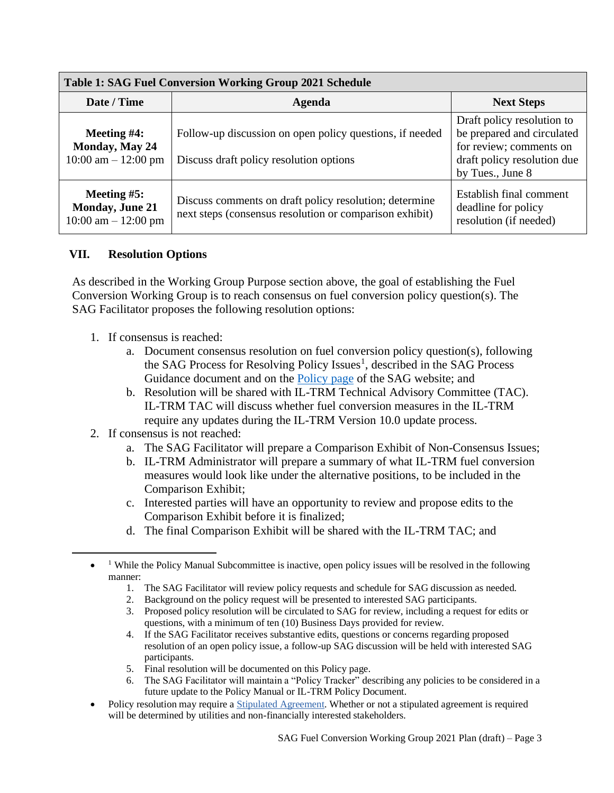| <b>Table 1: SAG Fuel Conversion Working Group 2021 Schedule</b>  |                                                                                                                   |                                                                                                                                        |  |
|------------------------------------------------------------------|-------------------------------------------------------------------------------------------------------------------|----------------------------------------------------------------------------------------------------------------------------------------|--|
| Date / Time                                                      | Agenda                                                                                                            | <b>Next Steps</b>                                                                                                                      |  |
| Meeting $#4$ :<br>Monday, May 24<br>$10:00$ am $- 12:00$ pm      | Follow-up discussion on open policy questions, if needed<br>Discuss draft policy resolution options               | Draft policy resolution to<br>be prepared and circulated<br>for review; comments on<br>draft policy resolution due<br>by Tues., June 8 |  |
| Meeting $#5:$<br><b>Monday, June 21</b><br>10:00 am $- 12:00$ pm | Discuss comments on draft policy resolution; determine<br>next steps (consensus resolution or comparison exhibit) | Establish final comment<br>deadline for policy<br>resolution (if needed)                                                               |  |

### **VII. Resolution Options**

As described in the Working Group Purpose section above, the goal of establishing the Fuel Conversion Working Group is to reach consensus on fuel conversion policy question(s). The SAG Facilitator proposes the following resolution options:

- 1. If consensus is reached:
	- a. Document consensus resolution on fuel conversion policy question(s), following the SAG Process for Resolving Policy Issues<sup>1</sup>, described in the SAG Process Guidance document and on the **Policy page** of the SAG website; and
	- b. Resolution will be shared with IL-TRM Technical Advisory Committee (TAC). IL-TRM TAC will discuss whether fuel conversion measures in the IL-TRM require any updates during the IL-TRM Version 10.0 update process.
- 2. If consensus is not reached:
	- a. The SAG Facilitator will prepare a Comparison Exhibit of Non-Consensus Issues;
	- b. IL-TRM Administrator will prepare a summary of what IL-TRM fuel conversion measures would look like under the alternative positions, to be included in the Comparison Exhibit;
	- c. Interested parties will have an opportunity to review and propose edits to the Comparison Exhibit before it is finalized;
	- d. The final Comparison Exhibit will be shared with the IL-TRM TAC; and

- 1. The SAG Facilitator will review policy requests and schedule for SAG discussion as needed.
- 2. Background on the policy request will be presented to interested SAG participants.
- 3. Proposed policy resolution will be circulated to SAG for review, including a request for edits or questions, with a minimum of ten (10) Business Days provided for review.
- 4. If the SAG Facilitator receives substantive edits, questions or concerns regarding proposed resolution of an open policy issue, a follow-up SAG discussion will be held with interested SAG participants.
- 5. Final resolution will be documented on this Policy page.
- 6. The SAG Facilitator will maintain a "Policy Tracker" describing any policies to be considered in a future update to the Policy Manual or IL-TRM Policy Document.
- Policy resolution may require a [Stipulated Agreement.](https://www.ilsag.info/resources/stipulated-agreements/) Whether or not a stipulated agreement is required will be determined by utilities and non-financially interested stakeholders.

<sup>•</sup> <sup>1</sup> While the Policy Manual Subcommittee is inactive, open policy issues will be resolved in the following manner: